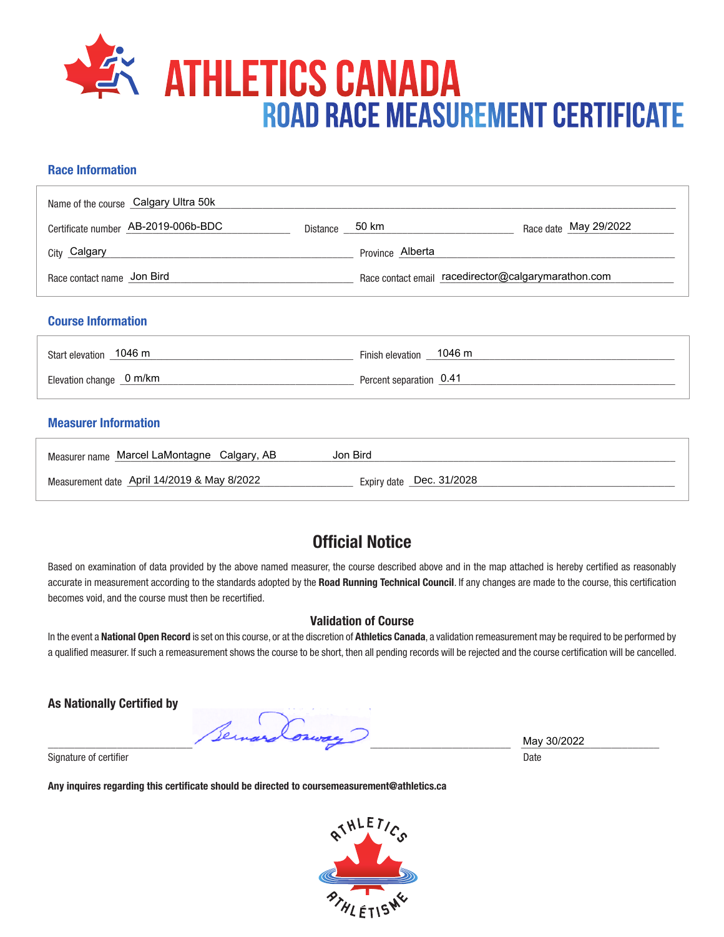

## **Race Information**

| Name of the course Calgary Ultra 50k |                |                                                     |                       |
|--------------------------------------|----------------|-----------------------------------------------------|-----------------------|
| Certificate number AB-2019-006b-BDC  | Distance 50 km |                                                     | Race date May 29/2022 |
| City Calgary                         |                | Province Alberta                                    |                       |
| Race contact name Jon Bird           |                | Race contact email racedirector@calgarymarathon.com |                       |

#### **Course Information**

| Start elevation 1046 m   | Finish elevation 1046 m |
|--------------------------|-------------------------|
| Elevation change _0 m/km | Percent separation 0.41 |

### **Measurer Information**

| Measurer name Marcel LaMontagne Calgary, AB | Jon Bird                 |
|---------------------------------------------|--------------------------|
| Measurement date April 14/2019 & May 8/2022 | Expiry date Dec. 31/2028 |

# **Official Notice**

Based on examination of data provided by the above named measurer, the course described above and in the map attached is hereby certified as reasonably accurate in measurement according to the standards adopted by the **Road Running Technical Council**. If any changes are made to the course, this certification becomes void, and the course must then be recertified.

#### **Validation of Course**

In the event a **National Open Record** is set on this course, or at the discretion of **Athletics Canada**, a validation remeasurement may be required to be performed by a qualified measurer. If such a remeasurement shows the course to be short, then all pending records will be rejected and the course certification will be cancelled.

**As Nationally Certified by**

\_\_\_\_\_\_\_\_\_\_\_\_\_\_\_\_\_\_\_\_\_\_\_\_\_\_\_\_\_\_\_\_\_\_\_\_\_\_\_\_\_\_\_\_\_\_\_\_\_\_\_\_\_\_\_\_\_\_\_\_\_\_\_\_\_\_\_\_\_\_\_\_\_\_\_\_\_\_\_\_\_\_\_\_\_\_\_ \_\_\_\_\_\_\_\_\_\_\_\_\_\_\_\_\_\_\_\_\_\_\_\_\_\_

Signature of certifier Date Date of Certifier and Contract of Certifier and Date Date of Certifier and Date Date of Certifier and Date of Certifier and Date of Certifier and Date of Certifier and Date of Certifier and Date

**Any inquires regarding this certificate should be directed to coursemeasurement@athletics.ca**



May 30/2022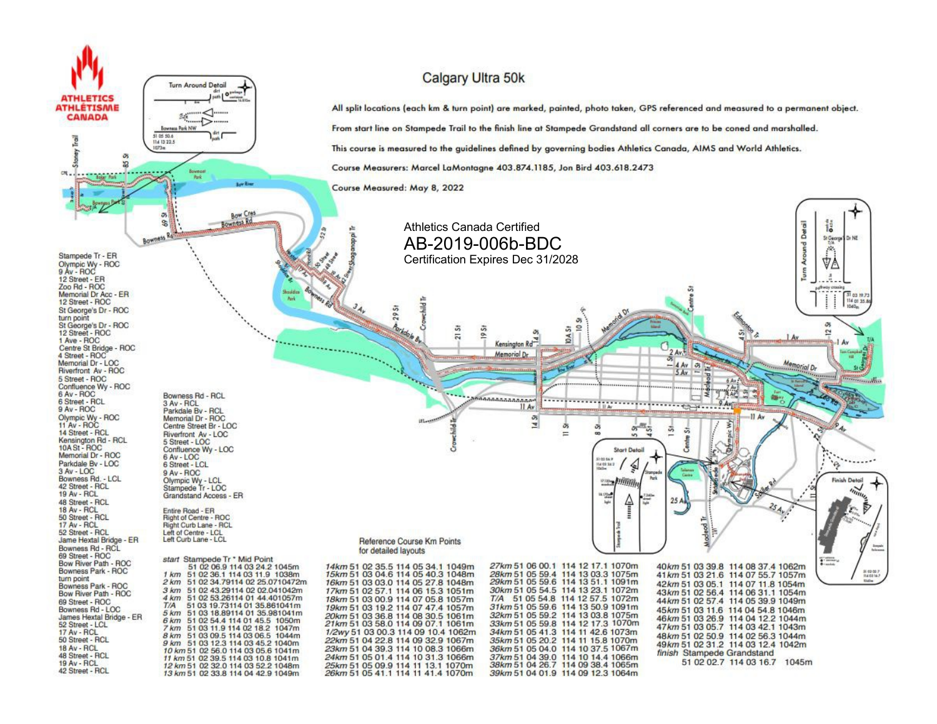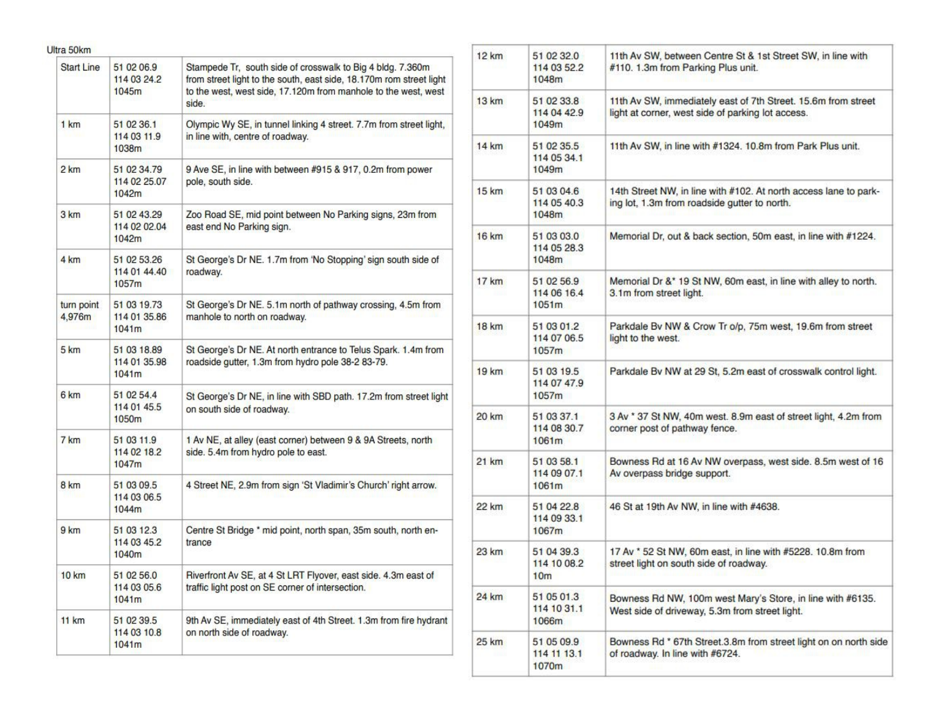| Ultra 50km           |                                      |                                                                                                                                                                                                              |  |
|----------------------|--------------------------------------|--------------------------------------------------------------------------------------------------------------------------------------------------------------------------------------------------------------|--|
| Start Line           | 51 02 06.9<br>114 03 24.2<br>1045m   | Stampede Tr, south side of crosswalk to Big 4 bldg. 7.360m<br>from street light to the south, east side, 18.170m rom street light<br>to the west, west side, 17.120m from manhole to the west, west<br>side. |  |
| 1 km                 | 51 02 36 1<br>114 03 11.9<br>1038m   | Olympic Wy SE, in tunnel linking 4 street. 7.7m from street light,<br>in line with, centre of roadway.                                                                                                       |  |
| 2 km                 | 51 02 34 79<br>114 02 25 07<br>1042m | 9 Ave SE, in line with between #915 & 917, 0.2m from power<br>pole, south side.                                                                                                                              |  |
| 3 km                 | 51 02 43 29<br>114 02 02:04<br>1042m | Zoo Road SE, mid point between No Parking signs, 23m from<br>east end No Parking sign.                                                                                                                       |  |
| 4 km                 | 51 02 53 26<br>114 01 44.40<br>1057m | St George's Dr NE. 1.7m from 'No Stopping' sign south side of<br>roadway.                                                                                                                                    |  |
| turn point<br>4.976m | 51 03 19.73<br>114 01 35.86<br>1041m | St George's Dr NE. 5.1m north of pathway crossing, 4.5m from<br>manhole to north on roadway.                                                                                                                 |  |
| 5 km                 | 51 03 18.89<br>114 01 35.98<br>1041m | St George's Dr NE. At north entrance to Telus Spark. 1.4m from<br>roadside gutter, 1.3m from hydro pole 38-2 83-79.                                                                                          |  |
| 6 km                 | 51 02 54.4<br>114 01 45.5<br>1050m   | St George's Dr NE, in line with SBD path. 17.2m from street light<br>on south side of roadway.                                                                                                               |  |
| 7 km                 | 51 03 11 9<br>114 02 18 2<br>1047m   | 1 Av NE, at alley (east corner) between 9 & 9A Streets, north<br>side. 5.4m from hydro pole to east.                                                                                                         |  |
| 8 km                 | 51 03 09.5<br>114 03 06.5<br>1044m   | 4 Street NE, 2.9m from sign 'St Vladimir's Church' right arrow.                                                                                                                                              |  |
| 9 km                 | 51 03 12.3<br>114 03 45.2<br>1040m   | Centre St Bridge * mid point, north span, 35m south, north en-<br>trance                                                                                                                                     |  |
| <b>10 km</b>         | 51 02 56.0<br>114 03 05.6<br>1041m   | Riverfront Av SE, at 4 St LRT Flyover, east side. 4.3m east of<br>traffic light post on SE corner of intersection.                                                                                           |  |
| 11 km                | 51 02 39.5<br>114 03 10.8<br>1041m   | 9th Av SE, immediately east of 4th Street. 1.3m from fire hydrant<br>on north side of roadway.                                                                                                               |  |

| 12 km | 51 02 32 0<br>114 03 52.2<br>1048m           | 11th Av SW, between Centre St & 1st Street SW, in line with<br>#110. 1.3m from Parking Plus unit.                  |  |
|-------|----------------------------------------------|--------------------------------------------------------------------------------------------------------------------|--|
| 13 km | 51 02 33.8<br>114 04 42.9<br>1049m           | 11th Av SW, immediately east of 7th Street. 15.6m from street<br>light at corner, west side of parking lot access. |  |
| 14 km | 51 02 35.5<br>114 05 34.1<br>1049m           | 11th Av SW, in line with #1324. 10.8m from Park Plus unit.                                                         |  |
| 15 km | 51 03 04 6<br>114 05 40.3<br>1048m           | 14th Street NW, in line with #102. At north access lane to park-<br>ing lot, 1.3m from roadside gutter to north.   |  |
| 16 km | 51 03 03.0<br>114 05 28.3<br>1048m           | Memorial Dr, out & back section, 50m east, in line with #1224.                                                     |  |
| 17 km | 51 02 56.9<br>114 06 16.4<br>1051m           | Memorial Dr &* 19 St NW, 60m east, in line with alley to north.<br>3.1m from street light.                         |  |
| 18 km | 51 03 01.2<br>114 07 06 5<br>1057m           | Parkdale By NW & Crow Tr o/p, 75m west, 19.6m from street<br>light to the west.                                    |  |
| 19 km | 51 03 19.5<br>114 07 47.9<br>1057m           | Parkdale Bv NW at 29 St, 5.2m east of crosswalk control light.                                                     |  |
| 20 km | 51 03 37.1<br>114 08 30.7<br>1061m           | 3 Av * 37 St NW, 40m west. 8.9m east of street light, 4.2m from<br>corner post of pathway fence.                   |  |
| 21 km | 51 03 58.1<br>114 09 07.1<br>1061m           | Bowness Rd at 16 Av NW overpass, west side. 8.5m west of 16<br>Av overpass bridge support.                         |  |
| 22 km | 51 04 22.8<br>114 09 33.1<br>1067m           | 46 St at 19th Av NW, in line with #4638.                                                                           |  |
| 23 km | 51 04 39.3<br>114 10 08.2<br>10 <sub>m</sub> | 17 Av * 52 St NW, 60m east, in line with #5228. 10.8m from<br>street light on south side of roadway.               |  |
| 24 km | 51 05 01.3<br>114 10 31.1<br>1066m           | Bowness Rd NW, 100m west Mary's Store, in line with #6135.<br>West side of driveway, 5.3m from street light.       |  |
| 25 km | 51 05 09.9<br>114 11 13.1<br>1070m           | Bowness Rd * 67th Street.3.8m from street light on on north side<br>of roadway. In line with #6724.                |  |